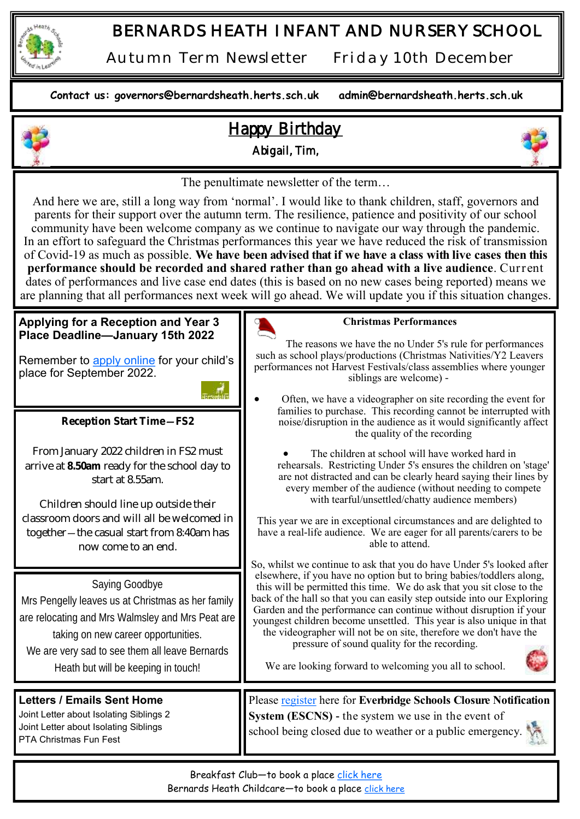

## *BERNARDS HEATH INFANT AND NURSERY SCHOOL*

*Autumn Term Newsletter Friday 10th December* 

**Contact us: governors@bernardsheath.herts.sch.uk admin@bernardsheath.herts.sch.uk**



Bernards Heath Childcare—to book a place [click here](https://bernardsheath.herts.sch.uk/cse-after-school-club/)